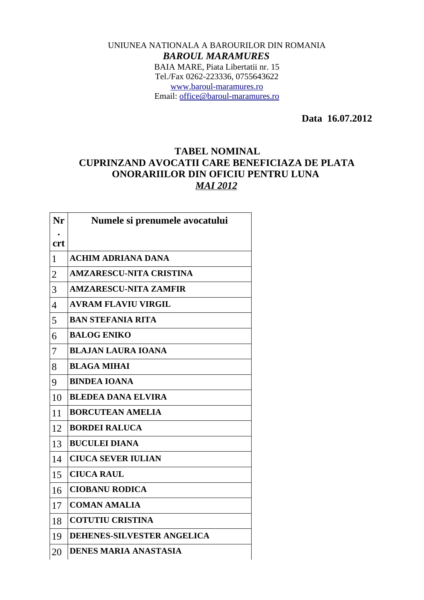## UNIUNEA NATIONALA A BAROURILOR DIN ROMANIA *BAROUL MARAMURES* BAIA MARE, Piata Libertatii nr. 15 Tel./Fax 0262-223336, 0755643622 [www.baroul-maramures.ro](http://www.baroul-maramures.ro/) Email: [office@baroul-maramures.ro](mailto:office@baroul-maramures.ro)

 **Data 16.07.2012**

## **TABEL NOMINAL CUPRINZAND AVOCATII CARE BENEFICIAZA DE PLATA ONORARIILOR DIN OFICIU PENTRU LUNA**  *MAI 2012*

| Nr             | Numele si prenumele avocatului |
|----------------|--------------------------------|
| <b>crt</b>     |                                |
| $\mathbf{1}$   | <b>ACHIM ADRIANA DANA</b>      |
| $\overline{2}$ | <b>AMZARESCU-NITA CRISTINA</b> |
| 3              | <b>AMZARESCU-NITA ZAMFIR</b>   |
| $\overline{4}$ | <b>AVRAM FLAVIU VIRGIL</b>     |
| 5              | <b>BAN STEFANIA RITA</b>       |
| 6              | <b>BALOG ENIKO</b>             |
| 7              | <b>BLAJAN LAURA IOANA</b>      |
| 8              | <b>BLAGA MIHAI</b>             |
| 9              | <b>BINDEA IOANA</b>            |
| 10             | <b>BLEDEA DANA ELVIRA</b>      |
| 11             | <b>BORCUTEAN AMELIA</b>        |
| 12             | <b>BORDEI RALUCA</b>           |
| 13             | <b>BUCULEI DIANA</b>           |
| 14             | <b>CIUCA SEVER IULIAN</b>      |
| 15             | <b>CIUCA RAUL</b>              |
| 16             | <b>CIOBANU RODICA</b>          |
| 17             | <b>COMAN AMALIA</b>            |
| 18             | <b>COTUTIU CRISTINA</b>        |
| 19             | DEHENES-SILVESTER ANGELICA     |
| 20             | <b>DENES MARIA ANASTASIA</b>   |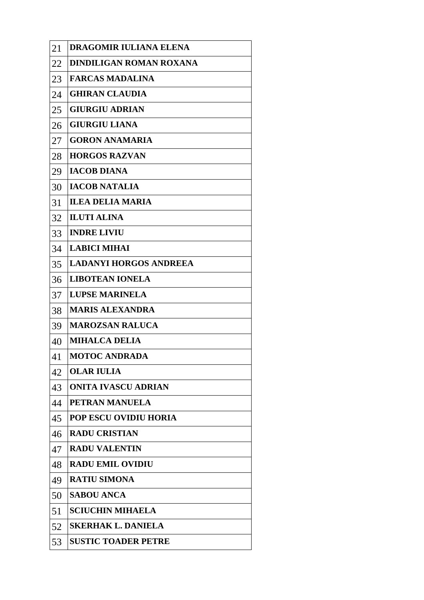| 21 | DRAGOMIR IULIANA ELENA        |
|----|-------------------------------|
| 22 | DINDILIGAN ROMAN ROXANA       |
| 23 | <b>FARCAS MADALINA</b>        |
| 24 | <b>GHIRAN CLAUDIA</b>         |
| 25 | <b>GIURGIU ADRIAN</b>         |
| 26 | <b>GIURGIU LIANA</b>          |
| 27 | <b>GORON ANAMARIA</b>         |
| 28 | <b>HORGOS RAZVAN</b>          |
| 29 | <b>IACOB DIANA</b>            |
| 30 | <b>IACOB NATALIA</b>          |
| 31 | <b>ILEA DELIA MARIA</b>       |
| 32 | <b>ILUTI ALINA</b>            |
| 33 | <b>INDRE LIVIU</b>            |
| 34 | <b>LABICI MIHAI</b>           |
| 35 | <b>LADANYI HORGOS ANDREEA</b> |
| 36 | <b>LIBOTEAN IONELA</b>        |
| 37 | <b>LUPSE MARINELA</b>         |
| 38 | <b>MARIS ALEXANDRA</b>        |
| 39 | <b>MAROZSAN RALUCA</b>        |
| 40 | <b>MIHALCA DELIA</b>          |
| 41 | <b>MOTOC ANDRADA</b>          |
| 42 | <b>OLAR IULIA</b>             |
| 43 | <b>ONITA IVASCU ADRIAN</b>    |
| 44 | PETRAN MANUELA                |
| 45 | <b>POP ESCU OVIDIU HORIA</b>  |
| 46 | <b>RADU CRISTIAN</b>          |
| 47 | <b>RADU VALENTIN</b>          |
| 48 | <b>RADU EMIL OVIDIU</b>       |
| 49 | <b>RATIU SIMONA</b>           |
| 50 | <b>SABOU ANCA</b>             |
| 51 | <b>SCIUCHIN MIHAELA</b>       |
| 52 | <b>SKERHAK L. DANIELA</b>     |
| 53 | <b>SUSTIC TOADER PETRE</b>    |